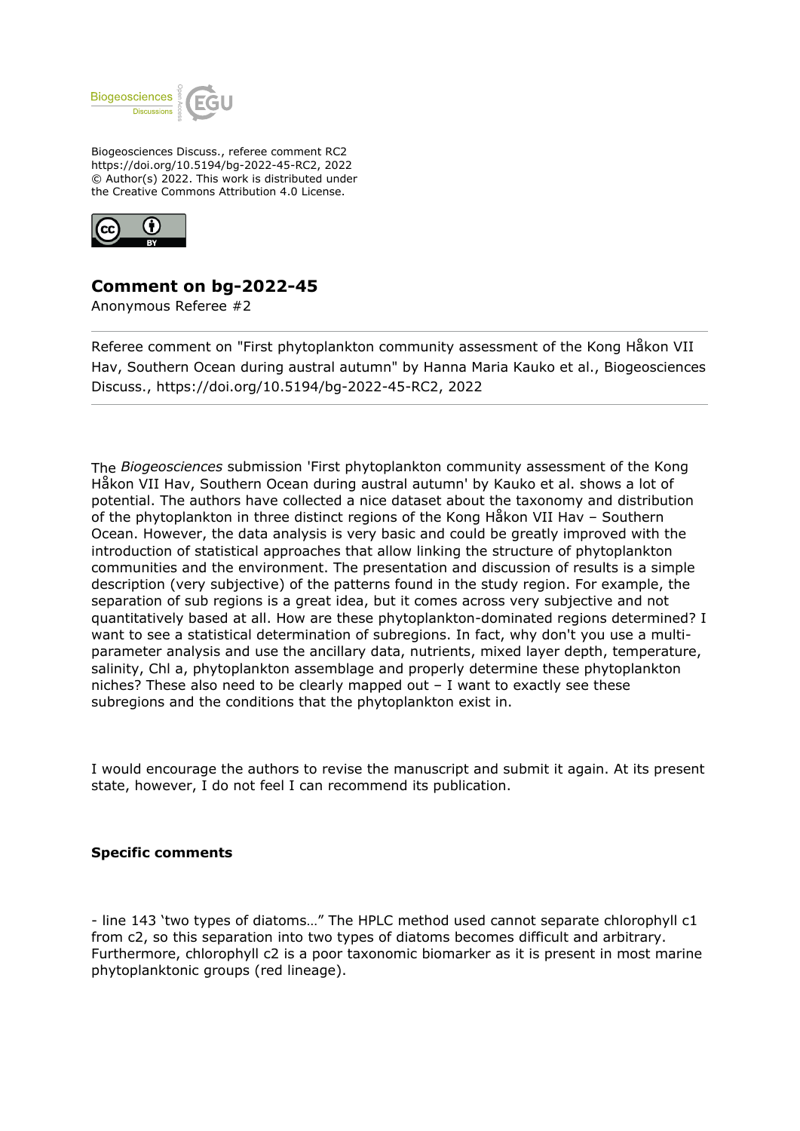

Biogeosciences Discuss., referee comment RC2 https://doi.org/10.5194/bg-2022-45-RC2, 2022 © Author(s) 2022. This work is distributed under the Creative Commons Attribution 4.0 License.



## **Comment on bg-2022-45**

Anonymous Referee #2

Referee comment on "First phytoplankton community assessment of the Kong Håkon VII Hav, Southern Ocean during austral autumn" by Hanna Maria Kauko et al., Biogeosciences Discuss., https://doi.org/10.5194/bg-2022-45-RC2, 2022

The *Biogeosciences* submission 'First phytoplankton community assessment of the Kong Håkon VII Hav, Southern Ocean during austral autumn' by Kauko et al. shows a lot of potential. The authors have collected a nice dataset about the taxonomy and distribution of the phytoplankton in three distinct regions of the Kong Håkon VII Hav – Southern Ocean. However, the data analysis is very basic and could be greatly improved with the introduction of statistical approaches that allow linking the structure of phytoplankton communities and the environment. The presentation and discussion of results is a simple description (very subjective) of the patterns found in the study region. For example, the separation of sub regions is a great idea, but it comes across very subjective and not quantitatively based at all. How are these phytoplankton-dominated regions determined? I want to see a statistical determination of subregions. In fact, why don't you use a multiparameter analysis and use the ancillary data, nutrients, mixed layer depth, temperature, salinity, Chl a, phytoplankton assemblage and properly determine these phytoplankton niches? These also need to be clearly mapped out – I want to exactly see these subregions and the conditions that the phytoplankton exist in.

I would encourage the authors to revise the manuscript and submit it again. At its present state, however, I do not feel I can recommend its publication.

## **Specific comments**

- line 143 'two types of diatoms…" The HPLC method used cannot separate chlorophyll c1 from c2, so this separation into two types of diatoms becomes difficult and arbitrary. Furthermore, chlorophyll c2 is a poor taxonomic biomarker as it is present in most marine phytoplanktonic groups (red lineage).